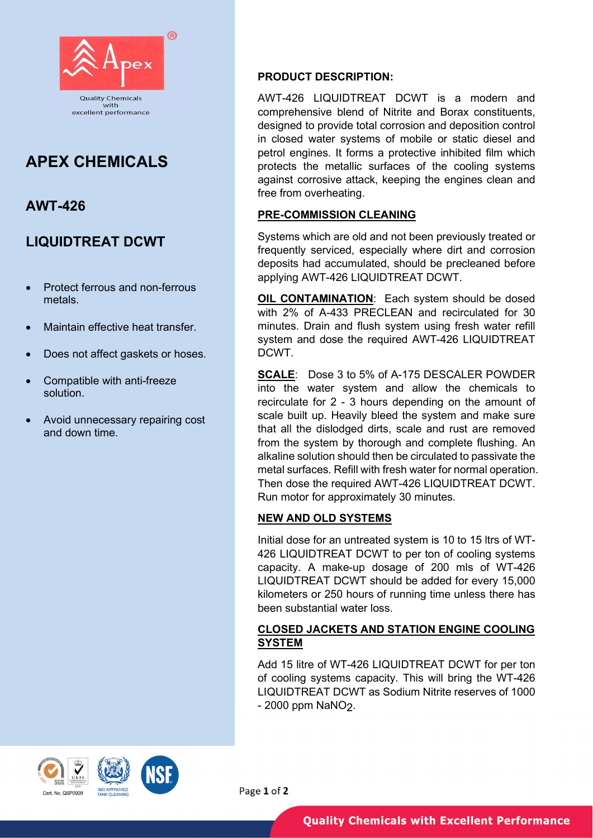

# APEX CHEMICALS

## AWT-426

## LIQUIDTREAT DCWT

- Protect ferrous and non-ferrous metals.
- Maintain effective heat transfer.
- Does not affect gaskets or hoses.
- Compatible with anti-freeze solution.
- Avoid unnecessary repairing cost and down time.

#### PRODUCT DESCRIPTION:

AWT-426 LIQUIDTREAT DCWT is a modern and comprehensive blend of Nitrite and Borax constituents, designed to provide total corrosion and deposition control in closed water systems of mobile or static diesel and petrol engines. It forms a protective inhibited film which protects the metallic surfaces of the cooling systems against corrosive attack, keeping the engines clean and free from overheating.

### PRE-COMMISSION CLEANING

Systems which are old and not been previously treated or frequently serviced, especially where dirt and corrosion deposits had accumulated, should be precleaned before applying AWT-426 LIQUIDTREAT DCWT.

**OIL CONTAMINATION:** Each system should be dosed with 2% of A-433 PRECLEAN and recirculated for 30 minutes. Drain and flush system using fresh water refill system and dose the required AWT-426 LIQUIDTREAT DCWT.

SCALE: Dose 3 to 5% of A-175 DESCALER POWDER into the water system and allow the chemicals to recirculate for 2 - 3 hours depending on the amount of scale built up. Heavily bleed the system and make sure that all the dislodged dirts, scale and rust are removed from the system by thorough and complete flushing. An alkaline solution should then be circulated to passivate the metal surfaces. Refill with fresh water for normal operation. Then dose the required AWT-426 LIQUIDTREAT DCWT. Run motor for approximately 30 minutes.

### NEW AND OLD SYSTEMS

Initial dose for an untreated system is 10 to 15 ltrs of WT-426 LIQUIDTREAT DCWT to per ton of cooling systems capacity. A make-up dosage of 200 mls of WT-426 LIQUIDTREAT DCWT should be added for every 15,000 kilometers or 250 hours of running time unless there has been substantial water loss.

### CLOSED JACKETS AND STATION ENGINE COOLING SYSTEM

Add 15 litre of WT-426 LIQUIDTREAT DCWT for per ton of cooling systems capacity. This will bring the WT-426 LIQUIDTREAT DCWT as Sodium Nitrite reserves of 1000 - 2000 ppm NaNO2.